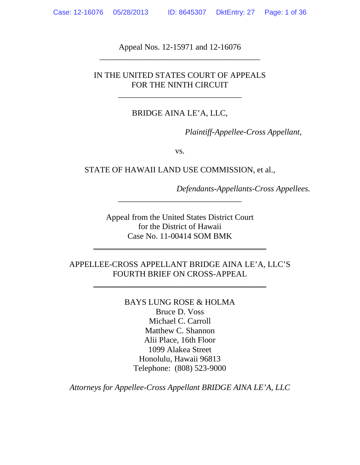Appeal Nos. 12-15971 and 12-16076 \_\_\_\_\_\_\_\_\_\_\_\_\_\_\_\_\_\_\_\_\_\_\_\_\_\_\_\_\_\_\_\_\_\_\_\_\_\_\_

### IN THE UNITED STATES COURT OF APPEALS FOR THE NINTH CIRCUIT

\_\_\_\_\_\_\_\_\_\_\_\_\_\_\_\_\_\_\_\_\_\_\_\_\_\_\_\_\_\_

### BRIDGE AINA LE'A, LLC,

*Plaintiff-Appellee-Cross Appellant,*

vs.

STATE OF HAWAII LAND USE COMMISSION, et al.,

*Defendants-Appellants-Cross Appellees.*

Appeal from the United States District Court for the District of Hawaii Case No. 11-00414 SOM BMK

\_\_\_\_\_\_\_\_\_\_\_\_\_\_\_\_\_\_\_\_\_\_\_\_\_\_\_\_\_\_\_\_\_\_\_\_\_\_\_\_\_\_

\_\_\_\_\_\_\_\_\_\_\_\_\_\_\_\_\_\_\_\_\_\_\_\_\_\_\_\_\_\_

### APPELLEE-CROSS APPELLANT BRIDGE AINA LE'A, LLC'S FOURTH BRIEF ON CROSS-APPEAL

\_\_\_\_\_\_\_\_\_\_\_\_\_\_\_\_\_\_\_\_\_\_\_\_\_\_\_\_\_\_\_\_\_\_\_\_\_\_\_\_\_\_

BAYS LUNG ROSE & HOLMA Bruce D. Voss Michael C. Carroll Matthew C. Shannon Alii Place, 16th Floor 1099 Alakea Street Honolulu, Hawaii 96813 Telephone: (808) 523-9000

*Attorneys for Appellee-Cross Appellant BRIDGE AINA LE'A, LLC*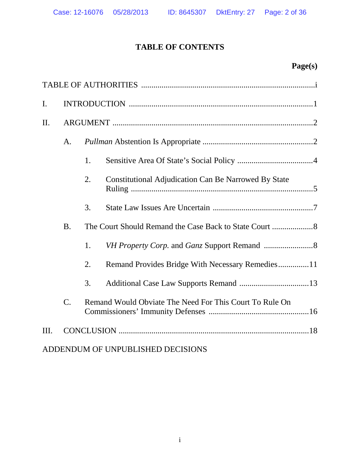| $\mathbf{I}$ . |                 |    |                                                             |  |  |
|----------------|-----------------|----|-------------------------------------------------------------|--|--|
| II.            |                 |    |                                                             |  |  |
|                | A.              |    |                                                             |  |  |
|                |                 | 1. |                                                             |  |  |
|                |                 | 2. | <b>Constitutional Adjudication Can Be Narrowed By State</b> |  |  |
|                |                 | 3. |                                                             |  |  |
|                | <b>B.</b>       |    |                                                             |  |  |
|                |                 | 1. |                                                             |  |  |
|                |                 | 2. | Remand Provides Bridge With Necessary Remedies11            |  |  |
|                |                 | 3. |                                                             |  |  |
|                | $\mathcal{C}$ . |    | Remand Would Obviate The Need For This Court To Rule On     |  |  |
| Ш.             |                 |    |                                                             |  |  |
|                |                 |    | ADDENDUM OF UNPUBLISHED DECISIONS                           |  |  |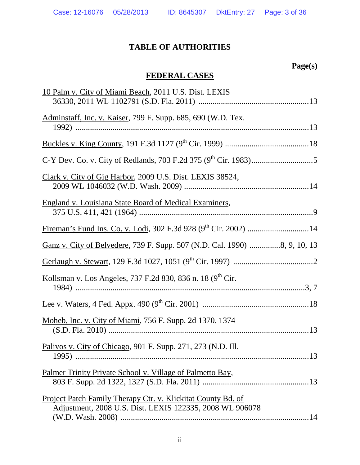# **TABLE OF AUTHORITIES**

# **Page(s)**

# **FEDERAL CASES**

| 10 Palm v. City of Miami Beach, 2011 U.S. Dist. LEXIS                     |
|---------------------------------------------------------------------------|
|                                                                           |
| Adminstaff, Inc. v. Kaiser, 799 F. Supp. 685, 690 (W.D. Tex.              |
|                                                                           |
|                                                                           |
|                                                                           |
|                                                                           |
| Clark v. City of Gig Harbor, 2009 U.S. Dist. LEXIS 38524,                 |
|                                                                           |
|                                                                           |
| <b>England v. Louisiana State Board of Medical Examiners,</b>             |
|                                                                           |
|                                                                           |
| Ganz v. City of Belvedere, 739 F. Supp. 507 (N.D. Cal. 1990) 8, 9, 10, 13 |
|                                                                           |
| Kollsman v. Los Angeles, 737 F.2d 830, 836 n. 18 (9 <sup>th</sup> Cir.    |
|                                                                           |
|                                                                           |
|                                                                           |
| Moheb, Inc. v. City of Miami, 756 F. Supp. 2d 1370, 1374                  |
|                                                                           |
| Palivos v. City of Chicago, 901 F. Supp. 271, 273 (N.D. Ill.              |
|                                                                           |
| Palmer Trinity Private School v. Village of Palmetto Bay,                 |
|                                                                           |
|                                                                           |
| Project Patch Family Therapy Ctr. v. Klickitat County Bd. of              |
| Adjustment, 2008 U.S. Dist. LEXIS 122335, 2008 WL 906078                  |
|                                                                           |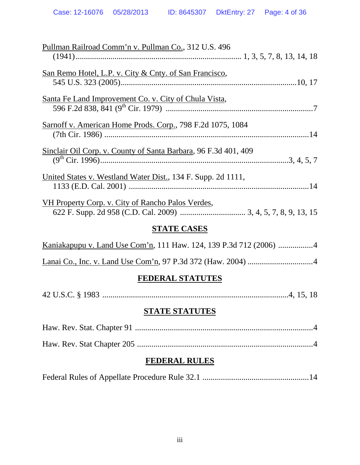| Pullman Railroad Comm'n v. Pullman Co., 312 U.S. 496               |  |  |  |  |  |
|--------------------------------------------------------------------|--|--|--|--|--|
| <u>San Remo Hotel, L.P. v. City &amp; Cnty. of San Francisco,</u>  |  |  |  |  |  |
| Santa Fe Land Improvement Co. v. City of Chula Vista,              |  |  |  |  |  |
| Sarnoff v. American Home Prods. Corp., 798 F.2d 1075, 1084         |  |  |  |  |  |
| Sinclair Oil Corp. v. County of Santa Barbara, 96 F.3d 401, 409    |  |  |  |  |  |
| United States v. Westland Water Dist., 134 F. Supp. 2d 1111,       |  |  |  |  |  |
| VH Property Corp. v. City of Rancho Palos Verdes,                  |  |  |  |  |  |
| <b>STATE CASES</b>                                                 |  |  |  |  |  |
| Kaniakapupu v. Land Use Com'n, 111 Haw. 124, 139 P.3d 712 (2006) 4 |  |  |  |  |  |
|                                                                    |  |  |  |  |  |
| <b>FEDERAL STATUTES</b>                                            |  |  |  |  |  |
|                                                                    |  |  |  |  |  |
| <b>STATE STATUTES</b>                                              |  |  |  |  |  |
|                                                                    |  |  |  |  |  |
|                                                                    |  |  |  |  |  |

# **FEDERAL RULES**

|--|--|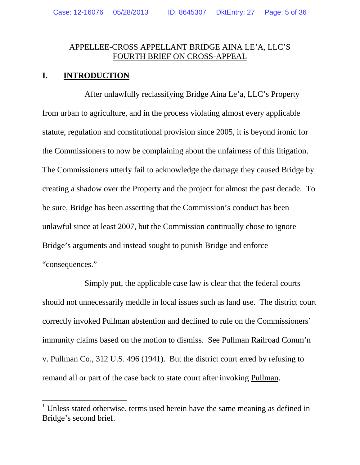### APPELLEE-CROSS APPELLANT BRIDGE AINA LE'A, LLC'S FOURTH BRIEF ON CROSS-APPEAL

## **I. INTRODUCTION**

After unlawfully reclassifying Bridge Aina Le'a, LLC's Property<sup>[1](#page-4-0)</sup> from urban to agriculture, and in the process violating almost every applicable statute, regulation and constitutional provision since 2005, it is beyond ironic for the Commissioners to now be complaining about the unfairness of this litigation. The Commissioners utterly fail to acknowledge the damage they caused Bridge by creating a shadow over the Property and the project for almost the past decade. To be sure, Bridge has been asserting that the Commission's conduct has been unlawful since at least 2007, but the Commission continually chose to ignore Bridge's arguments and instead sought to punish Bridge and enforce "consequences."

Simply put, the applicable case law is clear that the federal courts should not unnecessarily meddle in local issues such as land use. The district court correctly invoked Pullman abstention and declined to rule on the Commissioners' immunity claims based on the motion to dismiss. See Pullman Railroad Comm'n v. Pullman Co., 312 U.S. 496 (1941). But the district court erred by refusing to remand all or part of the case back to state court after invoking Pullman.

<span id="page-4-0"></span><sup>&</sup>lt;sup>1</sup> Unless stated otherwise, terms used herein have the same meaning as defined in Bridge's second brief.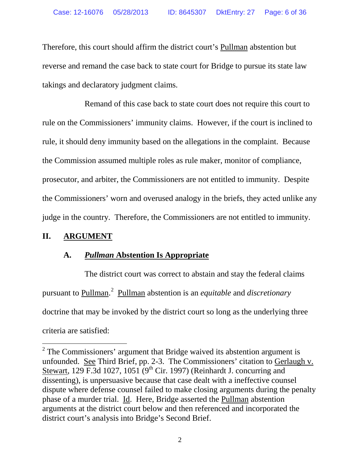Therefore, this court should affirm the district court's Pullman abstention but reverse and remand the case back to state court for Bridge to pursue its state law takings and declaratory judgment claims.

Remand of this case back to state court does not require this court to rule on the Commissioners' immunity claims. However, if the court is inclined to rule, it should deny immunity based on the allegations in the complaint. Because the Commission assumed multiple roles as rule maker, monitor of compliance, prosecutor, and arbiter, the Commissioners are not entitled to immunity. Despite the Commissioners' worn and overused analogy in the briefs, they acted unlike any judge in the country. Therefore, the Commissioners are not entitled to immunity.

## **II. ARGUMENT**

## **A.** *Pullman* **Abstention Is Appropriate**

The district court was correct to abstain and stay the federal claims pursuant to Pullman. [2](#page-5-0) Pullman abstention is an *equitable* and *discretionary* doctrine that may be invoked by the district court so long as the underlying three criteria are satisfied:

<span id="page-5-0"></span> $2$  The Commissioners' argument that Bridge waived its abstention argument is unfounded. See Third Brief, pp. 2-3. The Commissioners' citation to Gerlaugh v. Stewart, 129 F.3d 1027, 1051 (9<sup>th</sup> Cir. 1997) (Reinhardt J. concurring and dissenting), is unpersuasive because that case dealt with a ineffective counsel dispute where defense counsel failed to make closing arguments during the penalty phase of a murder trial. Id. Here, Bridge asserted the Pullman abstention arguments at the district court below and then referenced and incorporated the district court's analysis into Bridge's Second Brief.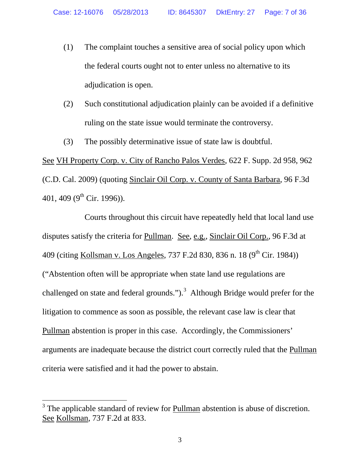- (1) The complaint touches a sensitive area of social policy upon which the federal courts ought not to enter unless no alternative to its adjudication is open.
- (2) Such constitutional adjudication plainly can be avoided if a definitive ruling on the state issue would terminate the controversy.
- (3) The possibly determinative issue of state law is doubtful.

See VH Property Corp. v. City of Rancho Palos Verdes, 622 F. Supp. 2d 958, 962 (C.D. Cal. 2009) (quoting Sinclair Oil Corp. v. County of Santa Barbara, 96 F.3d 401, 409 ( $9^{\text{th}}$  Cir. 1996)).

Courts throughout this circuit have repeatedly held that local land use disputes satisfy the criteria for Pullman. See, e.g., Sinclair Oil Corp., 96 F.3d at 409 (citing Kollsman v. Los Angeles, 737 F.2d 830, 836 n. 18 (9<sup>th</sup> Cir. 1984)) ("Abstention often will be appropriate when state land use regulations are challenged on state and federal grounds.").<sup>[3](#page-6-0)</sup> Although Bridge would prefer for the litigation to commence as soon as possible, the relevant case law is clear that Pullman abstention is proper in this case. Accordingly, the Commissioners' arguments are inadequate because the district court correctly ruled that the Pullman criteria were satisfied and it had the power to abstain.

<span id="page-6-0"></span><sup>&</sup>lt;sup>3</sup> The applicable standard of review for Pullman abstention is abuse of discretion. See Kollsman, 737 F.2d at 833.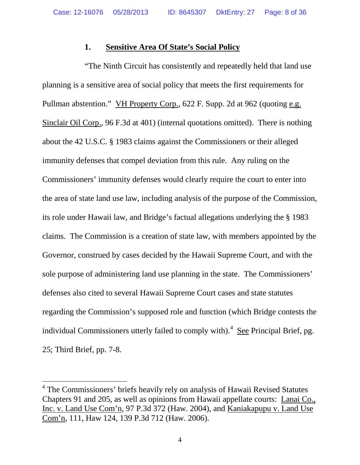### **1. Sensitive Area Of State's Social Policy**

"The Ninth Circuit has consistently and repeatedly held that land use planning is a sensitive area of social policy that meets the first requirements for Pullman abstention." VH Property Corp., 622 F. Supp. 2d at 962 (quoting e.g. Sinclair Oil Corp., 96 F.3d at 401) (internal quotations omitted). There is nothing about the 42 U.S.C. § 1983 claims against the Commissioners or their alleged immunity defenses that compel deviation from this rule. Any ruling on the Commissioners' immunity defenses would clearly require the court to enter into the area of state land use law, including analysis of the purpose of the Commission, its role under Hawaii law, and Bridge's factual allegations underlying the § 1983 claims. The Commission is a creation of state law, with members appointed by the Governor, construed by cases decided by the Hawaii Supreme Court, and with the sole purpose of administering land use planning in the state. The Commissioners' defenses also cited to several Hawaii Supreme Court cases and state statutes regarding the Commission's supposed role and function (which Bridge contests the individual Commissioners utterly failed to comply with).<sup>[4](#page-7-0)</sup> See Principal Brief, pg. 25; Third Brief, pp. 7-8.

<span id="page-7-0"></span><sup>&</sup>lt;sup>4</sup> The Commissioners' briefs heavily rely on analysis of Hawaii Revised Statutes Chapters 91 and 205, as well as opinions from Hawaii appellate courts: Lanai Co., Inc. v. Land Use Com'n, 97 P.3d 372 (Haw. 2004), and Kaniakapupu v. Land Use Com'n, 111, Haw 124, 139 P.3d 712 (Haw. 2006).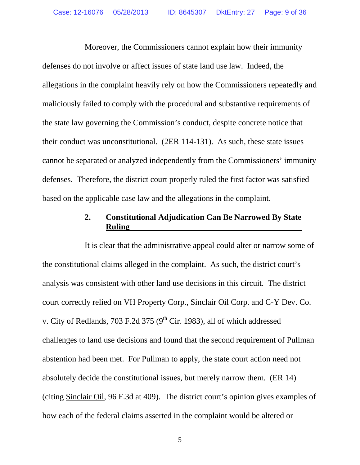Moreover, the Commissioners cannot explain how their immunity defenses do not involve or affect issues of state land use law. Indeed, the allegations in the complaint heavily rely on how the Commissioners repeatedly and maliciously failed to comply with the procedural and substantive requirements of the state law governing the Commission's conduct, despite concrete notice that their conduct was unconstitutional. (2ER 114-131). As such, these state issues cannot be separated or analyzed independently from the Commissioners' immunity defenses. Therefore, the district court properly ruled the first factor was satisfied based on the applicable case law and the allegations in the complaint.

## **2. Constitutional Adjudication Can Be Narrowed By State Ruling**

It is clear that the administrative appeal could alter or narrow some of the constitutional claims alleged in the complaint. As such, the district court's analysis was consistent with other land use decisions in this circuit. The district court correctly relied on VH Property Corp., Sinclair Oil Corp. and C-Y Dev. Co. v. City of Redlands, 703 F.2d 375 ( $9<sup>th</sup>$  Cir. 1983), all of which addressed challenges to land use decisions and found that the second requirement of Pullman abstention had been met. For Pullman to apply, the state court action need not absolutely decide the constitutional issues, but merely narrow them. (ER 14) (citing Sinclair Oil, 96 F.3d at 409). The district court's opinion gives examples of how each of the federal claims asserted in the complaint would be altered or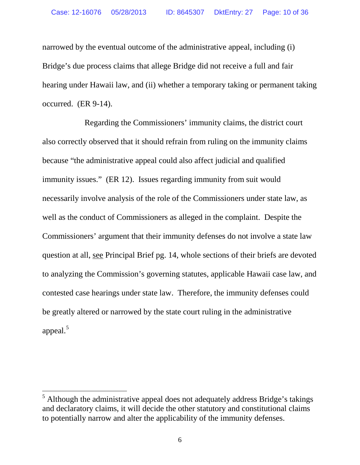narrowed by the eventual outcome of the administrative appeal, including (i) Bridge's due process claims that allege Bridge did not receive a full and fair hearing under Hawaii law, and (ii) whether a temporary taking or permanent taking occurred. (ER 9-14).

Regarding the Commissioners' immunity claims, the district court also correctly observed that it should refrain from ruling on the immunity claims because "the administrative appeal could also affect judicial and qualified immunity issues." (ER 12). Issues regarding immunity from suit would necessarily involve analysis of the role of the Commissioners under state law, as well as the conduct of Commissioners as alleged in the complaint. Despite the Commissioners' argument that their immunity defenses do not involve a state law question at all, see Principal Brief pg. 14, whole sections of their briefs are devoted to analyzing the Commission's governing statutes, applicable Hawaii case law, and contested case hearings under state law. Therefore, the immunity defenses could be greatly altered or narrowed by the state court ruling in the administrative appeal. $5$ 

<span id="page-9-0"></span> $<sup>5</sup>$  Although the administrative appeal does not adequately address Bridge's takings</sup> and declaratory claims, it will decide the other statutory and constitutional claims to potentially narrow and alter the applicability of the immunity defenses.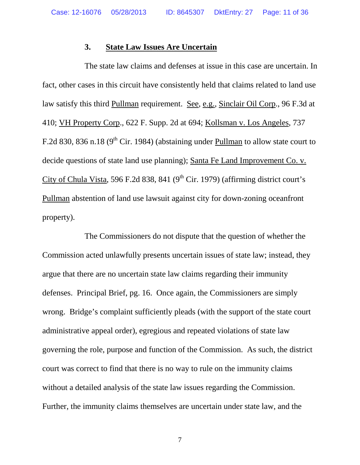### **3. State Law Issues Are Uncertain**

The state law claims and defenses at issue in this case are uncertain. In fact, other cases in this circuit have consistently held that claims related to land use law satisfy this third Pullman requirement. See, e.g., Sinclair Oil Corp., 96 F.3d at 410; VH Property Corp., 622 F. Supp. 2d at 694; Kollsman v. Los Angeles, 737 F.2d 830, 836 n.18 ( $9<sup>th</sup>$  Cir. 1984) (abstaining under Pullman to allow state court to decide questions of state land use planning); Santa Fe Land Improvement Co. v. City of Chula Vista, 596 F.2d 838, 841 ( $9<sup>th</sup>$  Cir. 1979) (affirming district court's Pullman abstention of land use lawsuit against city for down-zoning oceanfront property).

The Commissioners do not dispute that the question of whether the Commission acted unlawfully presents uncertain issues of state law; instead, they argue that there are no uncertain state law claims regarding their immunity defenses. Principal Brief, pg. 16. Once again, the Commissioners are simply wrong. Bridge's complaint sufficiently pleads (with the support of the state court administrative appeal order), egregious and repeated violations of state law governing the role, purpose and function of the Commission. As such, the district court was correct to find that there is no way to rule on the immunity claims without a detailed analysis of the state law issues regarding the Commission. Further, the immunity claims themselves are uncertain under state law, and the

7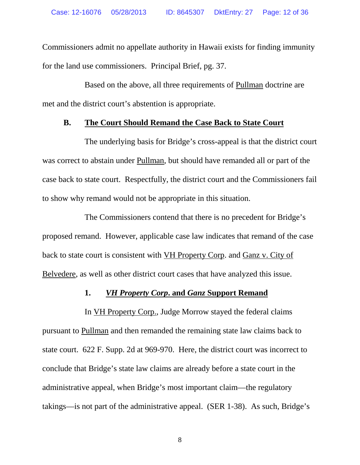Commissioners admit no appellate authority in Hawaii exists for finding immunity for the land use commissioners. Principal Brief, pg. 37.

Based on the above, all three requirements of Pullman doctrine are met and the district court's abstention is appropriate.

### **B. The Court Should Remand the Case Back to State Court**

The underlying basis for Bridge's cross-appeal is that the district court was correct to abstain under Pullman, but should have remanded all or part of the case back to state court. Respectfully, the district court and the Commissioners fail to show why remand would not be appropriate in this situation.

The Commissioners contend that there is no precedent for Bridge's proposed remand. However, applicable case law indicates that remand of the case back to state court is consistent with VH Property Corp. and Ganz v. City of Belvedere, as well as other district court cases that have analyzed this issue.

### **1.** *VH Property Corp***. and** *Ganz* **Support Remand**

In VH Property Corp., Judge Morrow stayed the federal claims pursuant to Pullman and then remanded the remaining state law claims back to state court. 622 F. Supp. 2d at 969-970. Here, the district court was incorrect to conclude that Bridge's state law claims are already before a state court in the administrative appeal, when Bridge's most important claim—the regulatory takings—is not part of the administrative appeal. (SER 1-38). As such, Bridge's

8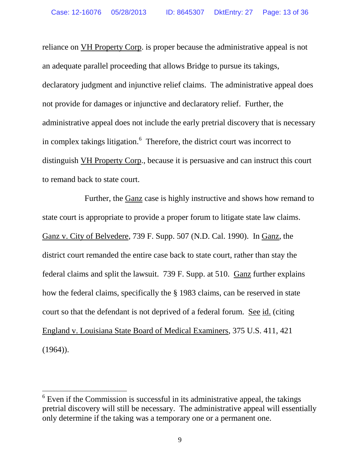reliance on VH Property Corp. is proper because the administrative appeal is not an adequate parallel proceeding that allows Bridge to pursue its takings, declaratory judgment and injunctive relief claims. The administrative appeal does not provide for damages or injunctive and declaratory relief. Further, the administrative appeal does not include the early pretrial discovery that is necessary in complex takings litigation.<sup>[6](#page-12-0)</sup> Therefore, the district court was incorrect to distinguish VH Property Corp., because it is persuasive and can instruct this court to remand back to state court.

Further, the Ganz case is highly instructive and shows how remand to state court is appropriate to provide a proper forum to litigate state law claims. Ganz v. City of Belvedere, 739 F. Supp. 507 (N.D. Cal. 1990). In Ganz, the district court remanded the entire case back to state court, rather than stay the federal claims and split the lawsuit. 739 F. Supp. at 510. Ganz further explains how the federal claims, specifically the § 1983 claims, can be reserved in state court so that the defendant is not deprived of a federal forum. See id. (citing England v. Louisiana State Board of Medical Examiners, 375 U.S. 411, 421  $(1964)$ ).

<span id="page-12-0"></span> $6$  Even if the Commission is successful in its administrative appeal, the takings pretrial discovery will still be necessary. The administrative appeal will essentially only determine if the taking was a temporary one or a permanent one.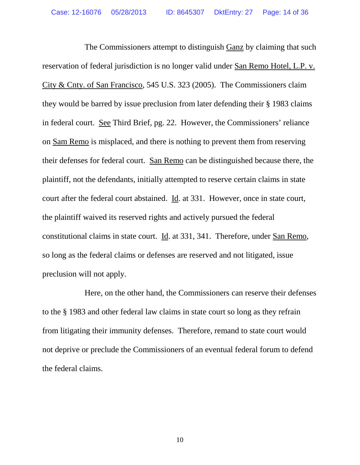The Commissioners attempt to distinguish Ganz by claiming that such reservation of federal jurisdiction is no longer valid under San Remo Hotel, L.P. v. City & Cnty. of San Francisco, 545 U.S. 323 (2005). The Commissioners claim they would be barred by issue preclusion from later defending their § 1983 claims in federal court. See Third Brief, pg. 22. However, the Commissioners' reliance on Sam Remo is misplaced, and there is nothing to prevent them from reserving their defenses for federal court. San Remo can be distinguished because there, the plaintiff, not the defendants, initially attempted to reserve certain claims in state court after the federal court abstained. Id. at 331. However, once in state court, the plaintiff waived its reserved rights and actively pursued the federal constitutional claims in state court. Id. at 331, 341. Therefore, under San Remo, so long as the federal claims or defenses are reserved and not litigated, issue preclusion will not apply.

Here, on the other hand, the Commissioners can reserve their defenses to the § 1983 and other federal law claims in state court so long as they refrain from litigating their immunity defenses. Therefore, remand to state court would not deprive or preclude the Commissioners of an eventual federal forum to defend the federal claims.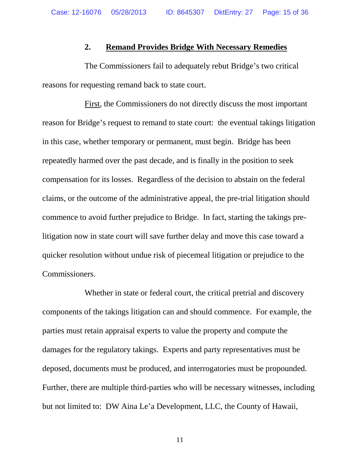### **2. Remand Provides Bridge With Necessary Remedies**

The Commissioners fail to adequately rebut Bridge's two critical reasons for requesting remand back to state court.

First, the Commissioners do not directly discuss the most important reason for Bridge's request to remand to state court: the eventual takings litigation in this case, whether temporary or permanent, must begin. Bridge has been repeatedly harmed over the past decade, and is finally in the position to seek compensation for its losses. Regardless of the decision to abstain on the federal claims, or the outcome of the administrative appeal, the pre-trial litigation should commence to avoid further prejudice to Bridge. In fact, starting the takings prelitigation now in state court will save further delay and move this case toward a quicker resolution without undue risk of piecemeal litigation or prejudice to the Commissioners.

Whether in state or federal court, the critical pretrial and discovery components of the takings litigation can and should commence. For example, the parties must retain appraisal experts to value the property and compute the damages for the regulatory takings. Experts and party representatives must be deposed, documents must be produced, and interrogatories must be propounded. Further, there are multiple third-parties who will be necessary witnesses, including but not limited to: DW Aina Le'a Development, LLC, the County of Hawaii,

11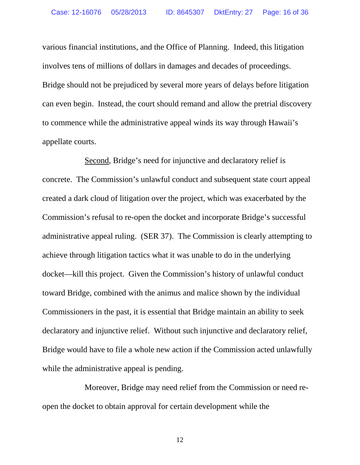various financial institutions, and the Office of Planning. Indeed, this litigation involves tens of millions of dollars in damages and decades of proceedings. Bridge should not be prejudiced by several more years of delays before litigation can even begin. Instead, the court should remand and allow the pretrial discovery to commence while the administrative appeal winds its way through Hawaii's appellate courts.

Second, Bridge's need for injunctive and declaratory relief is concrete. The Commission's unlawful conduct and subsequent state court appeal created a dark cloud of litigation over the project, which was exacerbated by the Commission's refusal to re-open the docket and incorporate Bridge's successful administrative appeal ruling. (SER 37). The Commission is clearly attempting to achieve through litigation tactics what it was unable to do in the underlying docket—kill this project. Given the Commission's history of unlawful conduct toward Bridge, combined with the animus and malice shown by the individual Commissioners in the past, it is essential that Bridge maintain an ability to seek declaratory and injunctive relief. Without such injunctive and declaratory relief, Bridge would have to file a whole new action if the Commission acted unlawfully while the administrative appeal is pending.

Moreover, Bridge may need relief from the Commission or need reopen the docket to obtain approval for certain development while the

12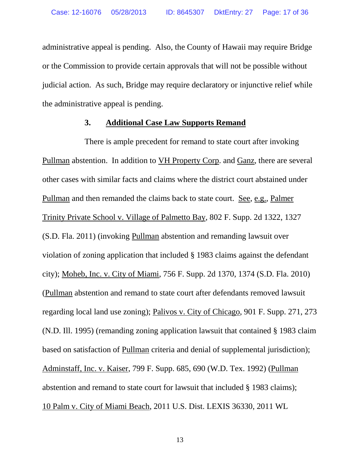administrative appeal is pending. Also, the County of Hawaii may require Bridge or the Commission to provide certain approvals that will not be possible without judicial action. As such, Bridge may require declaratory or injunctive relief while the administrative appeal is pending.

### **3. Additional Case Law Supports Remand**

There is ample precedent for remand to state court after invoking Pullman abstention. In addition to VH Property Corp. and Ganz, there are several other cases with similar facts and claims where the district court abstained under Pullman and then remanded the claims back to state court. See, e.g., Palmer Trinity Private School v. Village of Palmetto Bay, 802 F. Supp. 2d 1322, 1327 (S.D. Fla. 2011) (invoking Pullman abstention and remanding lawsuit over violation of zoning application that included § 1983 claims against the defendant city); Moheb, Inc. v. City of Miami, 756 F. Supp. 2d 1370, 1374 (S.D. Fla. 2010) (Pullman abstention and remand to state court after defendants removed lawsuit regarding local land use zoning); Palivos v. City of Chicago, 901 F. Supp. 271, 273 (N.D. Ill. 1995) (remanding zoning application lawsuit that contained § 1983 claim based on satisfaction of Pullman criteria and denial of supplemental jurisdiction); Adminstaff, Inc. v. Kaiser, 799 F. Supp. 685, 690 (W.D. Tex. 1992) (Pullman abstention and remand to state court for lawsuit that included § 1983 claims); 10 Palm v. City of Miami Beach, 2011 U.S. Dist. LEXIS 36330, 2011 WL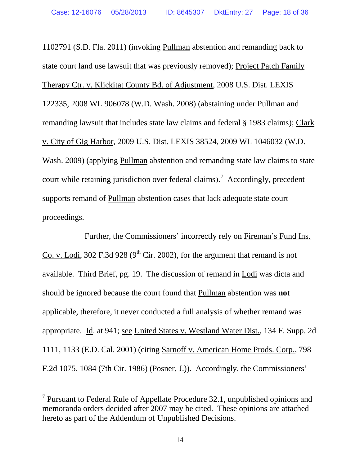1102791 (S.D. Fla. 2011) (invoking Pullman abstention and remanding back to state court land use lawsuit that was previously removed); Project Patch Family Therapy Ctr. v. Klickitat County Bd. of Adjustment, 2008 U.S. Dist. LEXIS 122335, 2008 WL 906078 (W.D. Wash. 2008) (abstaining under Pullman and remanding lawsuit that includes state law claims and federal § 1983 claims); Clark v. City of Gig Harbor, 2009 U.S. Dist. LEXIS 38524, 2009 WL 1046032 (W.D. Wash. 2009) (applying Pullman abstention and remanding state law claims to state court while retaining jurisdiction over federal claims).<sup>[7](#page-17-0)</sup> Accordingly, precedent supports remand of Pullman abstention cases that lack adequate state court proceedings.

Further, the Commissioners' incorrectly rely on Fireman's Fund Ins. Co. v. Lodi, 302 F.3d 928 ( $9<sup>th</sup>$  Cir. 2002), for the argument that remand is not available. Third Brief, pg. 19. The discussion of remand in Lodi was dicta and should be ignored because the court found that Pullman abstention was **not** applicable, therefore, it never conducted a full analysis of whether remand was appropriate. Id. at 941; see United States v. Westland Water Dist., 134 F. Supp. 2d 1111, 1133 (E.D. Cal. 2001) (citing Sarnoff v. American Home Prods. Corp., 798 F.2d 1075, 1084 (7th Cir. 1986) (Posner, J.)). Accordingly, the Commissioners'

<span id="page-17-0"></span> $<sup>7</sup>$  Pursuant to Federal Rule of Appellate Procedure 32.1, unpublished opinions and</sup> memoranda orders decided after 2007 may be cited. These opinions are attached hereto as part of the Addendum of Unpublished Decisions.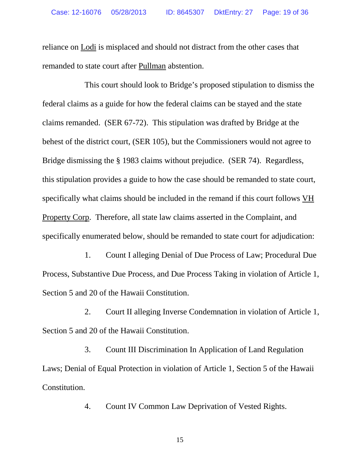reliance on Lodi is misplaced and should not distract from the other cases that remanded to state court after Pullman abstention.

This court should look to Bridge's proposed stipulation to dismiss the federal claims as a guide for how the federal claims can be stayed and the state claims remanded. (SER 67-72). This stipulation was drafted by Bridge at the behest of the district court, (SER 105), but the Commissioners would not agree to Bridge dismissing the § 1983 claims without prejudice. (SER 74). Regardless, this stipulation provides a guide to how the case should be remanded to state court, specifically what claims should be included in the remand if this court follows VH Property Corp. Therefore, all state law claims asserted in the Complaint, and specifically enumerated below, should be remanded to state court for adjudication:

1. Count I alleging Denial of Due Process of Law; Procedural Due Process, Substantive Due Process, and Due Process Taking in violation of Article 1, Section 5 and 20 of the Hawaii Constitution.

2. Court II alleging Inverse Condemnation in violation of Article 1, Section 5 and 20 of the Hawaii Constitution.

3. Count III Discrimination In Application of Land Regulation Laws; Denial of Equal Protection in violation of Article 1, Section 5 of the Hawaii Constitution.

4. Count IV Common Law Deprivation of Vested Rights.

15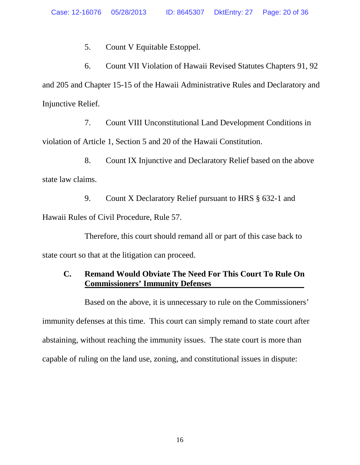5. Count V Equitable Estoppel.

6. Count VII Violation of Hawaii Revised Statutes Chapters 91, 92 and 205 and Chapter 15-15 of the Hawaii Administrative Rules and Declaratory and Injunctive Relief.

7. Count VIII Unconstitutional Land Development Conditions in violation of Article 1, Section 5 and 20 of the Hawaii Constitution.

8. Count IX Injunctive and Declaratory Relief based on the above state law claims.

9. Count X Declaratory Relief pursuant to HRS § 632-1 and Hawaii Rules of Civil Procedure, Rule 57.

Therefore, this court should remand all or part of this case back to state court so that at the litigation can proceed.

## **C. Remand Would Obviate The Need For This Court To Rule On Commissioners' Immunity Defenses**

Based on the above, it is unnecessary to rule on the Commissioners' immunity defenses at this time. This court can simply remand to state court after abstaining, without reaching the immunity issues. The state court is more than capable of ruling on the land use, zoning, and constitutional issues in dispute: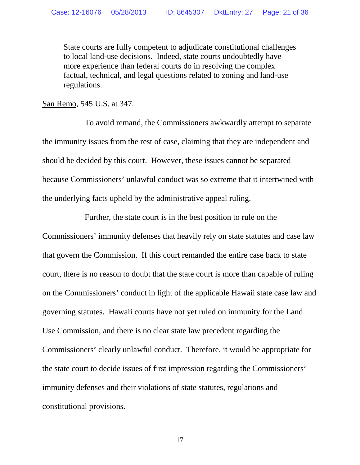State courts are fully competent to adjudicate constitutional challenges to local land-use decisions. Indeed, state courts undoubtedly have more experience than federal courts do in resolving the complex factual, technical, and legal questions related to zoning and land-use regulations.

San Remo, 545 U.S. at 347.

To avoid remand, the Commissioners awkwardly attempt to separate the immunity issues from the rest of case, claiming that they are independent and should be decided by this court. However, these issues cannot be separated because Commissioners' unlawful conduct was so extreme that it intertwined with the underlying facts upheld by the administrative appeal ruling.

Further, the state court is in the best position to rule on the Commissioners' immunity defenses that heavily rely on state statutes and case law that govern the Commission. If this court remanded the entire case back to state court, there is no reason to doubt that the state court is more than capable of ruling on the Commissioners' conduct in light of the applicable Hawaii state case law and governing statutes. Hawaii courts have not yet ruled on immunity for the Land Use Commission, and there is no clear state law precedent regarding the Commissioners' clearly unlawful conduct. Therefore, it would be appropriate for the state court to decide issues of first impression regarding the Commissioners' immunity defenses and their violations of state statutes, regulations and constitutional provisions.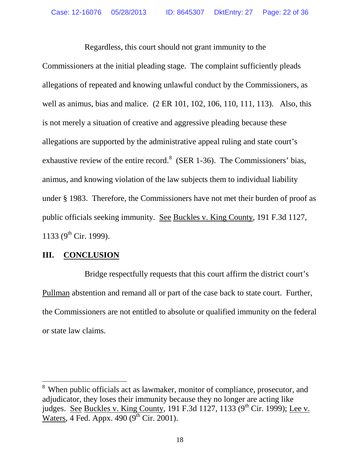Regardless, this court should not grant immunity to the Commissioners at the initial pleading stage. The complaint sufficiently pleads allegations of repeated and knowing unlawful conduct by the Commissioners, as well as animus, bias and malice. (2 ER 101, 102, 106, 110, 111, 113). Also, this is not merely a situation of creative and aggressive pleading because these allegations are supported by the administrative appeal ruling and state court's exhaustive review of the entire record.<sup>[8](#page-21-0)</sup> (SER 1-36). The Commissioners' bias, animus, and knowing violation of the law subjects them to individual liability under § 1983. Therefore, the Commissioners have not met their burden of proof as public officials seeking immunity. See Buckles v. King County, 191 F.3d 1127, 1133 ( $9^{th}$  Cir. 1999).

## **III. CONCLUSION**

Bridge respectfully requests that this court affirm the district court's Pullman abstention and remand all or part of the case back to state court. Further, the Commissioners are not entitled to absolute or qualified immunity on the federal or state law claims.

<span id="page-21-0"></span><sup>&</sup>lt;sup>8</sup> When public officials act as lawmaker, monitor of compliance, prosecutor, and adjudicator, they loses their immunity because they no longer are acting like judges. See Buckles v. King County, 191 F.3d 1127, 1133 (9<sup>th</sup> Cir. 1999); Lee v. Waters, 4 Fed. Appx.  $490 (9<sup>th</sup> Cir. 2001)$ .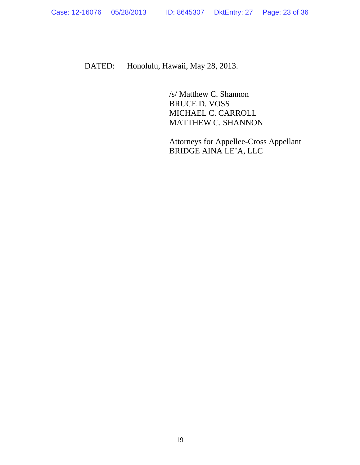DATED: Honolulu, Hawaii, May 28, 2013.

/s/ Matthew C. Shannon BRUCE D. VOSS MICHAEL C. CARROLL MATTHEW C. SHANNON

Attorneys for Appellee-Cross Appellant BRIDGE AINA LE'A, LLC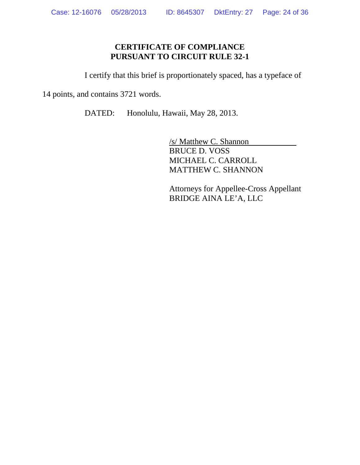## **CERTIFICATE OF COMPLIANCE PURSUANT TO CIRCUIT RULE 32-1**

I certify that this brief is proportionately spaced, has a typeface of

14 points, and contains 3721 words.

DATED: Honolulu, Hawaii, May 28, 2013.

/s/ Matthew C. Shannon BRUCE D. VOSS MICHAEL C. CARROLL MATTHEW C. SHANNON

Attorneys for Appellee-Cross Appellant BRIDGE AINA LE'A, LLC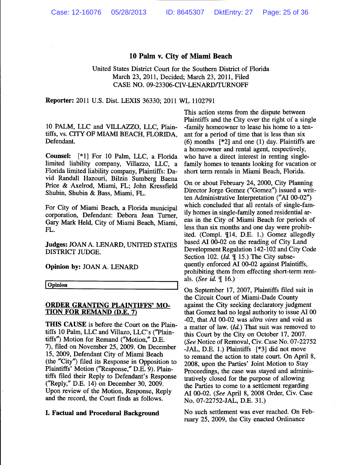#### 10 Palm v. City of Miami Beach

#### United States District Court for the Southern District of Florida March 23, 2011, Decided; March 23, 2011, Filed CASE NO. 09-23306-CIV-LENARD/TURNOFF

Reporter: 2011 U.S. Dist. LEXIS 36330; 2011 WL 1102791

10 PALM, LLC and VILLAZZO, LLC, Plaintiffs, vs. CITY OF MIAMI BEACH, FLORIDA, Defendant.

Counsel: [\*1] For 10 Palm, LLC, a Florida limited liability company, Villazzo, LLC, a Florida limited liability company, Plaintiffs: David Randall Hazouri, Bilzin Sumberg Baena Price & Axelrod, Miami, FL; John Kressfield Shubin, Shubin & Bass, Miami, FL.

For City of Miami Beach, a Florida municipal corporation, Defendant: Debora Jean Turner. Gary Mark Held, City of Miami Beach, Miami, FL.

**Judges: JOAN A. LENARD, UNITED STATES** DISTRICT JUDGE.

Opinion by: JOAN A. LENARD

Opinion

#### **ORDER GRANTING PLAINTIFFS' MO-TION FOR REMAND (D.E. 7)**

THIS CAUSE is before the Court on the Plaintiffs 10 Palm, LLC and Villazo, LLC's ("Plaintiffs") Motion for Remand ("Motion," D.E. 7), filed on November 25, 2009. On December 15, 2009, Defendant City of Miami Beach (the "City") filed its Response in Opposition to Plaintiffs' Motion ("Response," D.E. 9). Plaintiffs filed their Reply to Defendant's Response ("Reply," D.E. 14) on December 30, 2009. Upon review of the Motion, Response, Reply and the record, the Court finds as follows.

#### I. Factual and Procedural Background

This action stems from the dispute between Plaintiffs and the City over the right of a single -family homeowner to lease his home to a tenant for a period of time that is less than six  $(6)$  months  $[*2]$  and one  $(1)$  day. Plaintiffs are a homeowner and rental agent, respectively, who have a direct interest in renting singlefamily homes to tenants looking for vacation or short term rentals in Miami Beach, Florida.

On or about February 24, 2000, City Planning Director Jorge Gomez ("Gomez") issued a written Administrative Interpretation ("AI 00-02") which concluded that all rentals of single-family homes in single-family zoned residential areas in the City of Miami Beach for periods of less than six months and one day were prohibited. (Compl. ¶14, D.E. 1.) Gomez allegedly based AI 00-02 on the reading of City Land Development Regulation 142-102 and City Code Section 102.  $(Id. \mathcal{F}$  15.) The City subsequently enforced AI 00-02 against Plaintiffs, prohibiting them from effecting short-term rentals. (See id.  $\P$  16.)

On September 17, 2007, Plaintiffs filed suit in the Circuit Court of Miami-Dade County against the City seeking declaratory judgment that Gomez had no legal authority to issue AI 00 -02, that AI 00-02 was ultra vires and void as a matter of law. (Id.) That suit was removed to this Court by the City on October 17, 2007. (See Notice of Removal, Civ. Case No. 07-22752 -JAL, D.E. 1.) Plaintiffs [\*3] did not move to remand the action to state court. On April 8, 2008, upon the Parties' Joint Motion to Stay Proceedings, the case was stayed and administratively closed for the purpose of allowing the Parties to come to a settlement regarding AI 00-02. (See April 8, 2008 Order, Civ. Case No. 07-22752-JAL, D.E. 31.)

No such settlement was ever reached. On February 25, 2009, the City enacted Ordinance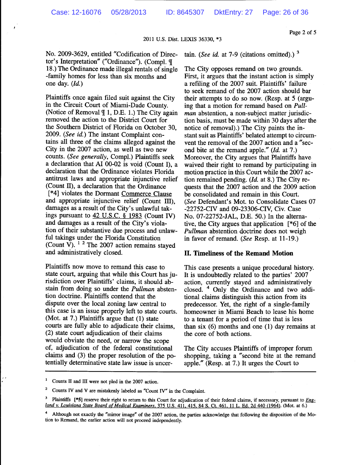#### Page 2 of 5

2011 U.S. Dist. LEXIS 36330, \*3

No. 2009-3629, entitled "Codification of Director's Interpretation" ("Ordinance"). (Compl. ¶ 18.) The Ordinance made illegal rentals of single -family homes for less than six months and one day.  $(Id.)$ 

Plaintiffs once again filed suit against the City in the Circuit Court of Miami-Dade County. (Notice of Removal ¶ 1, D.E. 1.) The City again removed the action to the District Court for the Southern District of Florida on October 30. 2009. (See id.) The instant Complaint contains all three of the claims alleged against the City in the 2007 action, as well as two new counts. (See generally, Compl.) Plaintiffs seek a declaration that AI 00-02 is void (Count I), a declaration that the Ordinance violates Florida antitrust laws and appropriate injunctive relief (Count II), a declaration that the Ordinance [\*4] violates the Dormant Commerce Clause and appropriate injunctive relief (Count III), damages as a result of the City's unlawful takings pursuant to  $42$  U.S.C. § 1983 (Count IV) and damages as a result of the City's violation of their substantive due process and unlawful takings under the Florida Constitution (Count V).  $1\overline{2}$  The 2007 action remains stayed and administratively closed.

Plaintiffs now move to remand this case to state court, arguing that while this Court has jurisdiction over Plaintiffs' claims, it should abstain from doing so under the *Pullman* abstention doctrine. Plaintiffs contend that the dispute over the local zoning law central to this case is an issue properly left to state courts. (Mot. at 7.) Plaintiffs argue that (1) state courts are fully able to adjudicate their claims. (2) state court adjudication of their claims would obviate the need, or narrow the scope of, adjudication of the federal constitutional claims and (3) the proper resolution of the potentially determinative state law issue is uncertain. (See id. at 7-9 (citations omitted).)  $3$ 

The City opposes remand on two grounds. First, it argues that the instant action is simply a refiling of the 2007 suit. Plaintiffs' failure to seek remand of the 2007 action should bar their attempts to do so now. (Resp. at 5 (arguing that a motion for remand based on Pullman abstention, a non-subject matter jurisdiction basis, must be made within 30 days after the notice of removal).) The City paints the instant suit as Plaintiffs' belated attempt to circumvent the removal of the 2007 action and a "second bite at the remand apple." (Id. at 7.) Moreover, the City argues that Plaintiffs have waived their right to remand by participating in motion practice in this Court while the 2007 action remained pending.  $(Id.$  at 8.) The City requests that the 2007 action and the 2009 action be consolidated and remain in this Court. (See Defendant's Mot. to Consolidate Cases 07 -22752-CIV and 09-23306-CIV, Civ. Case No. 07-22752-JAL, D.E. 50.) In the alternative, the City argues that application  $[*6]$  of the Pullman abstention doctrine does not weigh in favor of remand. (See Resp. at 11-19.)

#### II. Timeliness of the Remand Motion

This case presents a unique procedural history. It is undoubtedly related to the parties' 2007 action, currently stayed and administratively closed. <sup>4</sup> Only the Ordinance and two additional claims distinguish this action from its predecessor. Yet, the right of a single-family homeowner in Miami Beach to lease his home to a tenant for a period of time that is less than six  $(6)$  months and one  $(1)$  day remains at the core of both actions.

The City accuses Plaintiffs of improper forum shopping, taking a "second bite at the remand apple." (Resp. at 7.) It urges the Court to

 $\mathbf 2$ Counts IV and V are mistakenly labeled as "Count IV" in the Complaint.

Counts II and III were not pled in the 2007 action.

<sup>3</sup> Plaintiffs [\*5] reserve their right to return to this Court for adjudication of their federal claims, if necessary, pursuant to *Eng*land v. Louisiana State Board of Medical Examiners, 375 U.S. 411, 415, 84 S. Ct. 461, 11 L. Ed. 2d 440 (1964). (Mot. at 6.)

Although not exactly the "mirror image" of the 2007 action, the parties acknowledge that following the disposition of the Motion to Remand, the earlier action will not proceed independently.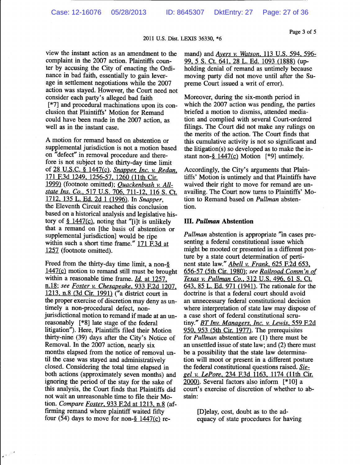2011 U.S. Dist. LEXIS 36330, \*6

view the instant action as an amendment to the complaint in the 2007 action. Plaintiffs counter by accusing the City of enacting the Ordinance in bad faith, essentially to gain leverage in settlement negotiations while the 2007 action was stayed. However, the Court need not consider each party's alleged bad faith [\*7] and procedural machinations upon its conclusion that Plaintiffs' Motion for Remand could have been made in the 2007 action, as well as in the instant case.

A motion for remand based on abstention or supplemental jurisdiction is not a motion based on "defect" in removal procedure and therefore is not subject to the thirty-day time limit of 28 U.S.C. § 1447(c). Snapper, Inc. v. Redan, 171 F.3d 1249, 1256-57, 1260 (11th Cir. 1999) (footnote omitted); Quackenbush v. Allstate Ins. Co., 517 U.S. 706, 711-12, 116 S. Ct. 1712, 135 L. Ed. 2d 1 (1996). In Snapper, the Eleventh Circuit reached this conclusion based on a historical analysis and legislative history of  $\S$  1447(c), noting that "[i]t is unlikely that a remand on [the basis of abstention or supplemental jurisdiction] would be ripe within such a short time frame." 171 F.3d at 1257 (footnote omitted).

Freed from the thirty-day time limit, a non-§  $1447(c)$  motion to remand still must be brought within a reasonable time frame.  $Id$  at 1257, n.18; see Foster v. Chesapeake, 933 F.2d 1207. 1213, n.8 (3d Cir. 1991) ("a district court in the proper exercise of discretion may deny as untimely a non-procedural defect, nonjurisdictional motion to remand if made at an unreasonably [\*8] late stage of the federal litigation"). Here, Plaintiffs filed their Motion thirty-nine (39) days after the City's Notice of Removal. In the 2007 action, nearly six months elapsed from the notice of removal until the case was stayed and administratively closed. Considering the total time elapsed in both actions (approximately seven months) and ignoring the period of the stay for the sake of this analysis, the Court finds that Plaintiffs did not wait an unreasonable time to file their Motion. Compare Foster, 933 F.2d at 1213, n.8 (affirming remand where plaintiff waited fifty four  $(54)$  days to move for non-§ 1447(c) re-

 $\mathbb{R}^n$ 

mand) and Ayers v. Watson, 113 U.S. 594, 596-99, 5 S. Ct. 641, 28 L. Ed. 1093 (1888) (upholding denial of remand as untimely because moving party did not move until after the Supreme Court issued a writ of error).

Moreover, during the six-month period in which the 2007 action was pending, the parties briefed a motion to dismiss, attended mediation and complied with several Court-ordered filings. The Court did not make any rulings on the merits of the action. The Court finds that this cumulative activity is not so significant and the litigation(s) so developed as to make the instant non- $§$  1447(c) Motion [\*9] untimely.

Accordingly, the City's arguments that Plaintiffs' Motion is untimely and that Plaintiffs have waived their right to move for remand are unavailing. The Court now turns to Plaintiffs' Motion to Remand based on *Pullman* abstention.

#### **III.** Pullman Abstention

*Pullman* abstention is appropriate "in cases presenting a federal constitutional issue which might be mooted or presented in a different posture by a state court determination of pertinent state law." Abell v. Frank, 625 F.2d 653, 656-57 (5th Cir. 1980); see Railroad Comm'n of Texas v. Pullman Co., 312 U.S. 496, 61 S. Ct. 643, 85 L. Ed. 971 (1941). The rationale for the doctrine is that a federal court should avoid an unnecessary federal constitutional decision where interpretation of state law may dispose of a case short of federal constitutional scrutiny." BT Inv. Managers, Inc. v. Lewis, 559 F.2d 950, 953 (5th Cir. 1977). The prerequisites for *Pullman* abstention are (1) there must be an unsettled issue of state law; and (2) there must be a possibility that the state law determination will moot or present in a different posture the federal constitutional questions raised. Siegel v. LePore, 234 F.3d 1163, 1174 (11th Cir. 2000). Several factors also inform [\*10] a court's exercise of discretion of whether to abstain:

> [D]elay, cost, doubt as to the adequacy of state procedures for having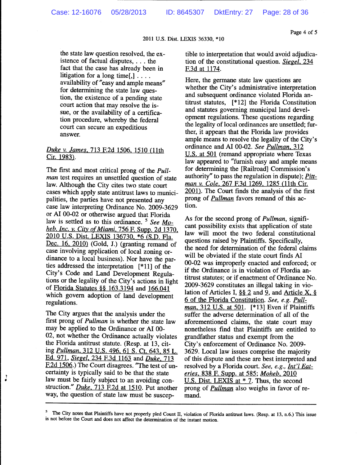2011 U.S. Dist. LEXIS 36330, \*10

#### Page 4 of 5

the state law question resolved, the existence of factual disputes, . . . the fact that the case has already been in litigation for a long time[,]  $\ldots$ . availability of "easy and ample means" for determining the state law question, the existence of a pending state court action that may resolve the issue, or the availability of a certification procedure, whereby the federal court can secure an expeditious answer.

#### Duke v. James, 713 F.2d 1506, 1510 (11th Cir. 1983).

The first and most critical prong of the *Pull*man test requires an unsettled question of state law. Although the City cites two state court cases which apply state antitrust laws to municipalities, the parties have not presented any case law interpreting Ordinance No. 2009-3629 or AI 00-02 or otherwise argued that Florida law is settled as to this ordinance.<sup>5</sup> See Moheb, Inc. v. City of Miami, 756 F. Supp. 2d 1370, 2010 U.S. Dist. LEXIS 136730, \*6 (S.D. Fla. Dec.  $16$ ,  $2010$ ) (Gold, J.) (granting remand of case involving application of local zoning ordinance to a local business). Nor have the parties addressed the interpretation [\*11] of the City's Code and Land Development Regulations or the legality of the City's actions in light of Florida Statutes §§ 163.3194 and 166.041 which govern adoption of land development regulations.

The City argues that the analysis under the first prong of Pullman is whether the state law may be applied to the Ordinance or AI 00-02, not whether the Ordinance actually violates the Florida antitrust statute. (Resp. at 13, citing Pullman, 312 U.S. 496, 61 S. Ct. 643, 85 L. Ed. 971, Siegel, 234 F.3d 1163 and Duke, 713 F.2d 1506.) The Court disagrees. "The test of uncertainty is typically said to be that the state law must be fairly subject to an avoiding construction." Duke, 713 F.2d at 1510. Put another way, the question of state law must be susceptible to interpretation that would avoid adjudication of the constitutional question. Siegel, 234 F.3d at 1174.

Here, the germane state law questions are whether the City's administrative interpretation and subsequent ordinance violated Florida antitrust statutes, [\*12] the Florida Constitution and statutes governing municipal land development regulations. These questions regarding the legality of local ordinances are unsettled; further, it appears that the Florida law provides ample means to resolve the legality of the City's ordinance and AI 00-02. See Pullman, 312 U.S. at 501 (remand appropriate where Texas law appeared to "furnish easy and ample means for determining the [Railroad] Commission's authority" to pass the regulation in dispute); Pittman v. Cole, 267 F.3d 1269, 1285 (11th Cir. 2001). The Court finds the analysis of the first prong of *Pullman* favors remand of this action.

As for the second prong of *Pullman*, significant possibility exists that application of state law will moot the two federal constitutional questions raised by Plaintiffs. Specifically, the need for determination of the federal claims will be obviated if the state court finds AI 00-02 was improperly enacted and enforced; or if the Ordinance is in violation of Flordia antitrust statutes; or if enactment of Ordinance No. 2009-3629 constitutes an illegal taking in violation of Articles I,  $\S$ § 2 and 9, and Article X, § 6 of the Florida Constitution. See, e.g. Pullman, 312 U.S. at 501. [\*13] Even if Plaintiffs suffer the adverse determination of all of the aforementioned claims, the state court may nonetheless find that Plaintiffs are entitled to grandfather status and exempt from the City's enforcement of Ordinance No. 2009-3629. Local law issues comprise the majority of this dispute and these are best interpreted and resolved by a Florida court. See, e.g., Int'l Eateries, 838 F. Supp. at 585; Moheb, 2010 U.S. Dist. LEXIS at  $*$  7. Thus, the second prong of *Pullman* also weighs in favor of remand.

The City notes that Plaintiffs have not properly pled Count II, violation of Florida antitrust laws. (Resp. at 13, n.6.) This issue is not before the Court and does not affect the determination of the instant motion.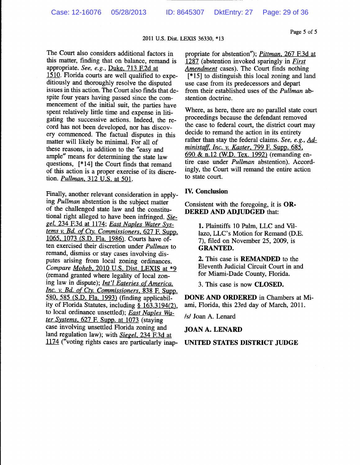05/28/2013

#### 2011 U.S. Dist. LEXIS 36330, \*13

The Court also considers additional factors in this matter, finding that on balance, remand is appropriate. See, e.g., Duke, 713 F.2d at 1510. Florida courts are well qualified to expeditiously and thoroughly resolve the disputed issues in this action. The Court also finds that despite four years having passed since the commencement of the initial suit, the parties have spent relatively little time and expense in litigating the successive actions. Indeed, the record has not been developed, nor has discovery commenced. The factual disputes in this matter will likely be minimal. For all of these reasons, in addition to the "easy and ample" means for determining the state law questions, [\*14] the Court finds that remand of this action is a proper exercise of its discretion. *Pullman*, 312 U.S. at 501.

Finally, another relevant consideration in applying Pullman abstention is the subject matter of the challenged state law and the constitutional right alleged to have been infringed. Siegel, 234 F.3d at 1174; East Naples Water Systems v. Bd. of Cty. Commissioners, 627 F. Supp. 1065, 1073 (S.D. Fla. 1986). Courts have often exercised their discretion under *Pullman* to remand, dismiss or stay cases involving disputes arising from local zoning ordinances. Compare Moheb, 2010 U.S. Dist. LEXIS at \*9 (remand granted where legality of local zoning law in dispute); *Int'l Eateries of America*, Inc. v. Bd. of Cty. Commissioners, 838 F. Supp. 580, 585 (S.D. Fla. 1993) (finding applicability of Florida Statutes, including § 163.3194(2), to local ordinance unsettled); East Naples Water Systems, 627 F. Supp. at 1073 (staying case involving unsettled Florida zoning and land regulation law); with Siegel, 234 F.3d at 1174 ("voting rights cases are particularly inappropriate for abstention"); *Pittman*, 267 F.3d at 1287 (abstention invoked sparingly in *First* Amendment cases). The Court finds nothing  $[*15]$  to distinguish this local zoning and land use case from its predecessors and depart from their established uses of the Pullman abstention doctrine.

Where, as here, there are no parallel state court proceedings because the defendant removed the case to federal court, the district court may decide to remand the action in its entirety rather than stay the federal claims. See, e.g., Administaff, Inc. v. Kaster, 799 F. Supp. 685, 690 & n.12 (W.D. Tex. 1992) (remanding entire case under *Pullman* abstention). Accordingly, the Court will remand the entire action to state court.

#### **IV.** Conclusion

Consistent with the foregoing, it is  $OR-$ **DERED AND ADJUDGED that:** 

> 1. Plaintiffs 10 Palm, LLC and Villazo, LLC's Motion for Remand (D.E. 7), filed on November 25, 2009, is **GRANTED.**

> 2. This case is **REMANDED** to the Eleventh Judicial Circuit Court in and for Miami-Dade County, Florida.

3. This case is now **CLOSED**.

DONE AND ORDERED in Chambers at Miami, Florida, this 23rd day of March, 2011.

/s/ Joan A. Lenard

#### **JOAN A. LENARD**

#### UNITED STATES DISTRICT JUDGE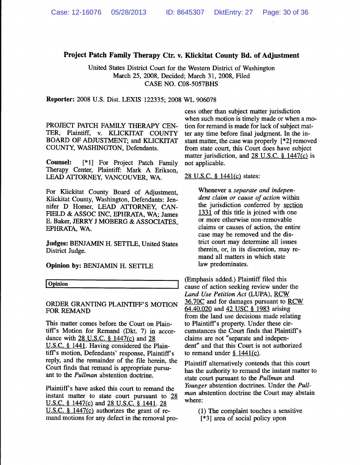### Project Patch Family Therapy Ctr. v. Klickitat County Bd. of Adjustment

United States District Court for the Western District of Washington March 25, 2008, Decided; March 31, 2008, Filed CASE NO. C08-5057BHS

Reporter: 2008 U.S. Dist. LEXIS 122335; 2008 WL 906078

PROJECT PATCH FAMILY THERAPY CEN-TER, Plaintiff, v. KLICKITAT COUNTY BOARD OF ADJUSTMENT; and KLICKITAT COUNTY, WASHINGTON, Defendants.

**Counsel:** [\*1] For Project Patch Family Therapy Center, Plaintiff: Mark A Erikson, LEAD ATTORNEY, VANCOUVER, WA.

For Klickitat County Board of Adjustment, Klickitat County, Washington, Defendants: Jennifer D Homer, LEAD ATTORNEY, CAN-FIELD & ASSOC INC, EPHRATA, WA; James E. Baker, JERRY J MOBERG & ASSOCIATES, EPHRATA, WA.

**Judges: BENJAMIN H. SETTLE, United States** District Judge.

Opinion by: BENJAMIN H. SETTLE

Opinion

#### ORDER GRANTING PLAINTIFF'S MOTION FOR REMAND

This matter comes before the Court on Plaintiff's Motion for Remand (Dkt. 7) in accordance with 28 U.S.C. § 1447(c) and 28 U.S.C. § 1441. Having considered the Plaintiff's motion, Defendants' response, Plaintiff's reply, and the remainder of the file herein, the Court finds that remand is appropriate pursuant to the *Pullman* abstention doctrine.

Plaintiff's have asked this court to remand the instant matter to state court pursuant to 28 U.S.C. § 1447(c) and 28 U.S.C. § 1441. 28 U.S.C.  $\frac{1}{2}$  1447(c) authorizes the grant of remand motions for any defect in the removal pro-

cess other than subject matter jurisdiction when such motion is timely made or when a motion for remand is made for lack of subject matter any time before final judgment. In the instant matter, the case was properly [\*2] removed from state court, this Court does have subject matter jurisdiction, and 28 U.S.C.  $\frac{8}{9}$  1447(c) is not applicable.

#### 28 U.S.C. § 1441(c) states:

Whenever a separate and independent claim or cause of action within the jurisdiction conferred by section  $1331$  of this title is joined with one or more otherwise non-removable claims or causes of action, the entire case may be removed and the district court may determine all issues therein, or, in its discretion, may remand all matters in which state law predominates.

(Emphasis added.) Plaintiff filed this cause of action seeking review under the Land Use Petition Act (LUPA), RCW 36.70C and for damages pursuant to RCW 64.40.020 and 42 USC  $\frac{1}{9}$  1983 arising from the land use decisions made relating to Plaintiff's property. Under these circumstances the Court finds that Plaintiff's claims are not "separate and independent" and that this Court is not authorized to remand under  $§$  1441(c).

Plaintiff alternatively contends that this court has the authority to remand the instant matter to state court pursuant to the Pullman and Younger abstention doctrines. Under the Pullman abstention doctrine the Court may abstain where:

> (1) The complaint touches a sensitive  $[*3]$  area of social policy upon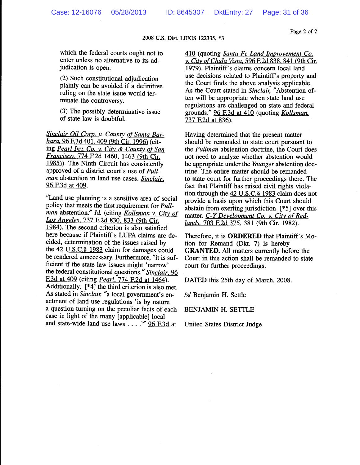Page 2 of 2

2008 U.S. Dist. LEXIS 122335, \*3

which the federal courts ought not to enter unless no alternative to its adjudication is open.

(2) Such constitutional adjudication plainly can be avoided if a definitive ruling on the state issue would terminate the controversy.

(3) The possibly determinative issue of state law is doubtful.

Sinclair Oil Corp. v. County of Santa Barbara, 96 F.3d 401, 409 (9th Cir. 1996) (citing Pearl Inv. Co. v. City & County of San Francisco, 774 F.2d 1460, 1463 (9th Cir. 1985)). The Ninth Circuit has consistently approved of a district court's use of Pullman abstention in land use cases. Sinclair, 96 F.3d at 409.

"Land use planning is a sensitive area of social policy that meets the first requirement for *Pull*man abstention." Id. (citing Kollsman v. City of Los Angeles, 737 F.2d 830, 833 (9th Cir. 1984). The second criterion is also satisfied here because if Plaintiff's LUPA claims are decided, determination of the issues raised by the 42 U.S.C.§ 1983 claim for damages could be rendered unnecessary. Furthermore, "it is sufficient if the state law issues might 'narrow' the federal constitutional questions." Sinclair, 96 F.3d at 409 (citing *Pearl*, 774 F.2d at 1464). Additionally, [\*4] the third criterion is also met. As stated in Sinclair, "a local government's enactment of land use regulations 'is by nature a question turning on the peculiar facts of each case in light of the many [applicable] local and state-wide land use laws . . . . " 96 F.3d at

410 (quoting *Santa Fe Land Improvement Co.* v. City of Chula Vista, 596 F.2d 838, 841 (9th Cir. 1979). Plaintiff's claims concern local land use decisions related to Plaintiff's property and the Court finds the above analysis applicable. As the Court stated in Sinclair, "Abstention often will be appropriate when state land use regulations are challenged on state and federal grounds." 96 F.3d at 410 (quoting Kollsman, 737 F.2d at 836).

Having determined that the present matter should be remanded to state court pursuant to the *Pullman* abstention doctrine, the Court does not need to analyze whether abstention would be appropriate under the Younger abstention doctrine. The entire matter should be remanded to state court for further proceedings there. The fact that Plaintiff has raised civil rights violation through the 42 U.S.C. § 1983 claim does not provide a basis upon which this Court should abstain from exerting jurisdiction  $[*5]$  over this matter. C-Y Development Co. v. City of Redlands, 703 F.2d 375, 381 (9th Cir. 1982).

Therefore, it is ORDERED that Plaintiff's Motion for Remand (Dkt. 7) is hereby **GRANTED.** All matters currently before the Court in this action shall be remanded to state court for further proceedings.

DATED this 25th day of March, 2008.

/s/ Benjamin H. Settle

**BENJAMIN H. SETTLE** 

United States District Judge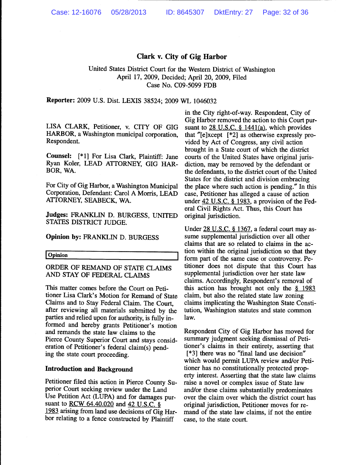#### Clark v. City of Gig Harbor

United States District Court for the Western District of Washington April 17, 2009, Decided; April 20, 2009, Filed Case No. C09-5099 FDB

Reporter: 2009 U.S. Dist. LEXIS 38524; 2009 WL 1046032

LISA CLARK, Petitioner, v. CITY OF GIG HARBOR, a Washington municipal corporation, Respondent.

Counsel: [\*1] For Lisa Clark, Plaintiff: Jane Ryan Koler, LEAD ATTORNEY, GIG HAR-BOR, WA.

For City of Gig Harbor, a Washington Municipal Corporation, Defendant: Carol A Morris, LEAD ATTORNEY, SEABECK, WA.

Judges: FRANKLIN D. BURGESS, UNITED STATES DISTRICT JUDGE.

Opinion by: FRANKLIN D. BURGESS

Opinion

ORDER OF REMAND OF STATE CLAIMS AND STAY OF FEDERAL CLAIMS

This matter comes before the Court on Petitioner Lisa Clark's Motion for Remand of State Claims and to Stay Federal Claim. The Court, after reviewing all materials submitted by the parties and relied upon for authority, is fully informed and hereby grants Petitioner's motion and remands the state law claims to the Pierce County Superior Court and stays consideration of Petitioner's federal claim(s) pending the state court proceeding.

#### **Introduction and Background**

Petitioner filed this action in Pierce County Superior Court seeking review under the Land Use Petition Act (LUPA) and for damages pursuant to <u>RCW 64.40.020</u> and 42 U.S.C. § 1983 arising from land use decisions of Gig Harbor relating to a fence constructed by Plaintiff

in the City right-of-way. Respondent, City of Gig Harbor removed the action to this Court pursuant to  $28$  U.S.C. § 1441(a), which provides that "[e]xcept  $[*2]$  as otherwise expressly provided by Act of Congress, any civil action brought in a State court of which the district courts of the United States have original jurisdiction, may be removed by the defendant or the defendants, to the district court of the United States for the district and division embracing the place where such action is pending." In this case, Petitioner has alleged a cause of action under 42 U.S.C. § 1983, a provision of the Federal Civil Rights Act. Thus, this Court has original jurisdiction.

Under 28 U.S.C. § 1367, a federal court may assume supplemental jurisdiction over all other claims that are so related to claims in the action within the original jurisdiction so that they form part of the same case or controversy. Petitioner does not dispute that this Court has supplemental jurisdiction over her state law claims. Accordingly, Respondent's removal of this action has brought not only the  $\S$  1983 claim, but also the related state law zoning claims implicating the Washington State Constitution, Washington statutes and state common law.

Respondent City of Gig Harbor has moved for summary judgment seeking dismissal of Petitioner's claims in their entirety, asserting that [\*3] there was no "final land use decision" which would permit LUPA review and/or Petitioner has no constitutionally protected property interest. Asserting that the state law claims raise a novel or complex issue of State law and/or these claims substantially predominates over the claim over which the district court has original jurisdiction, Petitioner moves for remand of the state law claims, if not the entire case, to the state court.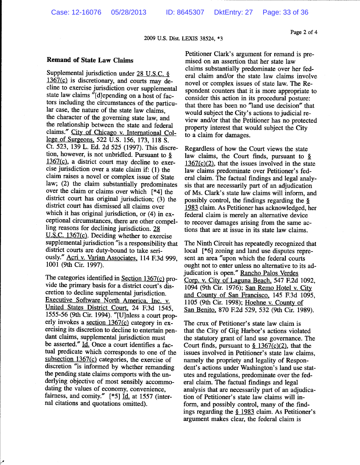2009 U.S. Dist. LEXIS 38524, \*3

#### **Remand of State Law Claims**

Supplemental jurisdiction under 28 U.S.C. § 1367(c) is discretionary, and courts may decline to exercise jurisdiction over supplemental state law claims "[d]epending on a host of factors including the circumstances of the particular case, the nature of the state law claims, the character of the governing state law, and the relationship between the state and federal claims." City of Chicago v. International College of Surgeons, 522 U.S. 156, 173, 118 S. Ct. 523, 139 L. Ed. 2d 525 (1997). This discretion, however, is not unbridled. Pursuant to  $\S$  $1367(c)$ , a district court may decline to exercise jurisdiction over a state claim if: (1) the claim raises a novel or complex issue of State law; (2) the claim substantially predominates over the claim or claims over which [\*4] the district court has original jurisdiction; (3) the district court has dismissed all claims over which it has original jurisdiction, or (4) in exceptional circumstances, there are other compelling reasons for declining jurisdiction. 28 U.S.C. 1367(c). Deciding whether to exercise supplemental jurisdiction "is a responsibility that district courts are duty-bound to take seriously." Acri v. Varian Associates, 114 F.3d 999, 1001 (9th Cir. 1997).

The categories identified in Section 1367(c) provide the primary basis for a district court's discretion to decline supplemental jurisdiction. Executive Software North America, Inc. v. United States District Court, 24 F.3d 1545, 1555-56 (9th Cir. 1994). "[U]nless a court properly invokes a section 1367(c) category in exercising its discretion to decline to entertain pendant claims, supplemental jurisdiction must be asserted." Id. Once a court identifies a factual predicate which corresponds to one of the subsection  $1367(c)$  categories, the exercise of discretion "is informed by whether remanding the pending state claims comports with the underlying objective of most sensibly accommodating the values of economy, convenience. fairness, and comity." [\*5] Id. at 1557 (internal citations and quotations omitted).

Petitioner Clark's argument for remand is premised on an assertion that her state law claims substantially predominate over her federal claim and/or the state law claims involve novel or complex issues of state law. The Respondent counters that it is more appropriate to consider this action in its procedural posture: that there has been no "land use decision" that would subject the City's actions to judicial review and/or that the Petitioner has no protected property interest that would subject the City to a claim for damages.

Regardless of how the Court views the state law claims, the Court finds, pursuant to  $\S$  $1367(c)(2)$ , that the issues involved in the state law claims predominate over Petitioner's federal claim. The factual findings and legal analysis that are necessarily part of an adjudication of Ms. Clark's state law claims will inform, and possibly control, the findings regarding the § 1983 claim. As Petitioner has acknowledged, her federal claim is merely an alternative device to recover damages arising from the same actions that are at issue in its state law claims.

The Ninth Circuit has repeatedly recognized that local [\*6] zoning and land use disputes represent an area "upon which the federal courts ought not to enter unless no alternative to its adjudication is open." Rancho Palos Verdes Corp. v. City of Laguna Beach, 547 F.2d 1092, 1094 (9th Cir. 1976); San Remo Hotel v. City and County of San Francisco, 145 F.3d 1095, 1105 (9th Cir. 1998); Hoehne v. County of San Benito, 870 F.2d 529, 532 (9th Cir. 1989).

The crux of Petitioner's state law claim is that the City of Gig Harbor's actions violated the statutory grant of land use governance. The Court finds, pursuant to  $\frac{8}{2}$  1367(c)(2), that the issues involved in Petitioner's state law claims, namely the propriety and legality of Respondent's actions under Washington's land use statutes and regulations, predominate over the federal claim. The factual findings and legal analysis that are necessarily part of an adjudication of Petitioner's state law claims will inform, and possibly control, many of the findings regarding the § 1983 claim. As Petitioner's argument makes clear, the federal claim is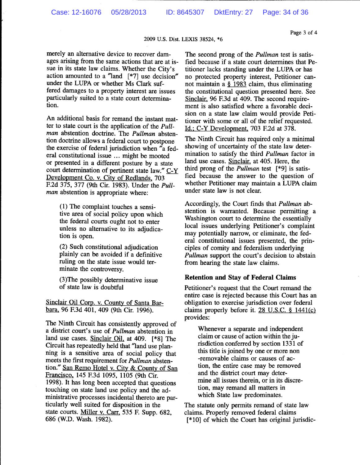Page 3 of 4

#### 2009 U.S. Dist. LEXIS 38524, \*6

merely an alternative device to recover damages arising from the same actions that are at issue in its state law claims. Whether the City's action amounted to a "land [\*7] use decision" under the LUPA or whether Ms Clark suffered damages to a property interest are issues particularly suited to a state court determination.

An additional basis for remand the instant matter to state court is the application of the Pullman abstention doctrine. The Pullman abstention doctrine allows a federal court to postpone the exercise of federal jurisdiction when "a federal constitutional issue ... might be mooted or presented in a different posture by a state court determination of pertinent state law." C-Y Development Co. v. City of Redlands, 703 F.2d 375, 377 (9th Cir. 1983). Under the *Pull*man abstention is appropriate where:

> (1) The complaint touches a sensitive area of social policy upon which the federal courts ought not to enter unless no alternative to its adjudication is open.

(2) Such constitutional adjudication plainly can be avoided if a definitive ruling on the state issue would terminate the controversy.

(3) The possibly determinative issue of state law is doubtful

Sinclair Oil Corp. v. County of Santa Barbara, 96 F.3d 401, 409 (9th Cir. 1996).

The Ninth Circuit has consistently approved of a district court's use of *Pullman* abstention in land use cases. Sinclair Oil, at 409. [\*8] The Circuit has repeatedly held that "land use planning is a sensitive area of social policy that meets the first requirement for *Pullman* abstention." San Remo Hotel v. City & County of San Francisco, 145 F.3d 1095, 1105 (9th Cir. 1998). It has long been accepted that questions touching on state land use policy and the administrative processes incidental thereto are particularly well suited for disposition in the state courts. Miller v. Carr, 535 F. Supp. 682. 686 (W.D. Wash. 1982).

The second prong of the *Pullman* test is satisfied because if a state court determines that Petitioner lacks standing under the LUPA or has no protected property interest, Petitioner cannot maintain a  $§$  1983 claim, thus eliminating the constitutional question presented here. See Sinclair, 96 F.3d at 409. The second requirement is also satisfied where a favorable decision on a state law claim would provide Petitioner with some or all of the relief requested. Id.; C-Y Development, 703 F.2d at 378.

The Ninth Circuit has required only a minimal showing of uncertainty of the state law determination to satisfy the third *Pullman* factor in land use cases. Sinclair, at 405. Here, the third prong of the *Pullman* test  $[*9]$  is satisfied because the answer to the question of whether Petitioner may maintain a LUPA claim under state law is not clear.

Accordingly, the Court finds that Pullman abstention is warranted. Because permitting a Washington court to determine the essentially local issues underlying Petitioner's complaint may potentially narrow, or eliminate, the federal constitutional issues presented, the principles of comity and federalism underlying Pullman support the court's decision to abstain from hearing the state law claims.

#### **Retention and Stay of Federal Claims**

Petitioner's request that the Court remand the entire case is rejected because this Court has an obligation to exercise jurisdiction over federal claims properly before it.  $28$  U.S.C. § 1441(c) provides:

Whenever a separate and independent claim or cause of action within the jurisdiction conferred by section 1331 of this title is joined by one or more non -removable claims or causes of action, the entire case may be removed and the district court may determine all issues therein, or in its discretion, may remand all matters in which State law predominates.

The statute only permits remand of state law claims. Properly removed federal claims [\*10] of which the Court has original jurisdic-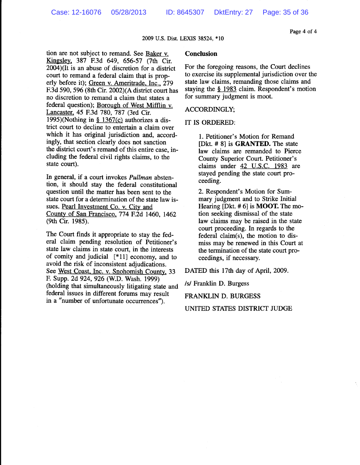Page 4 of 4

#### 2009 U.S. Dist. LEXIS 38524, \*10

tion are not subject to remand. See Baker v. Kingsley, 387 F.3d 649, 656-57 (7th Cir.  $2004$ )(It is an abuse of discretion for a district court to remand a federal claim that is properly before it); Green v. Ameritrade, Inc., 279 F.3d 590, 596 (8th Cir. 2002)(A district court has no discretion to remand a claim that states a federal question); Borough of West Mifflin v. Lancaster, 45 F.3d 780, 787 (3rd Cir. 1995)(Nothing in  $§ 1367(c)$  authorizes a district court to decline to entertain a claim over which it has original jurisdiction and, accordingly, that section clearly does not sanction the district court's remand of this entire case, including the federal civil rights claims, to the state court).

In general, if a court invokes *Pullman* abstention, it should stay the federal constitutional question until the matter has been sent to the state court for a determination of the state law issues. Pearl Investment Co. v. City and County of San Francisco, 774 F.2d 1460, 1462 (9th Cir. 1985).

The Court finds it appropriate to stay the federal claim pending resolution of Petitioner's state law claims in state court, in the interests of comity and judicial [\*11] economy, and to avoid the risk of inconsistent adjudications. See West Coast, Inc. v. Snohomish County, 33 F. Supp. 2d 924, 926 (W.D. Wash. 1999). (holding that simultaneously litigating state and federal issues in different forums may result in a "number of unfortunate occurrences").

#### **Conclusion**

For the foregoing reasons, the Court declines to exercise its supplemental jurisdiction over the state law claims, remanding those claims and staying the  $\S$  1983 claim. Respondent's motion for summary judgment is moot.

#### **ACCORDINGLY;**

#### IT IS ORDERED:

1. Petitioner's Motion for Remand [Dkt. # 8] is **GRANTED**. The state law claims are remanded to Pierce County Superior Court. Petitioner's claims under 42 U.S.C. 1983 are stayed pending the state court proceeding.

2. Respondent's Motion for Summary judgment and to Strike Initial Hearing [Dkt.  $# 6$ ] is **MOOT.** The motion seeking dismissal of the state law claims may be raised in the state court proceeding. In regards to the federal claim(s), the motion to dismiss may be renewed in this Court at the termination of the state court proceedings, if necessary.

DATED this 17th day of April, 2009.

/s/ Franklin D. Burgess

**FRANKLIN D. BURGESS** 

UNITED STATES DISTRICT JUDGE